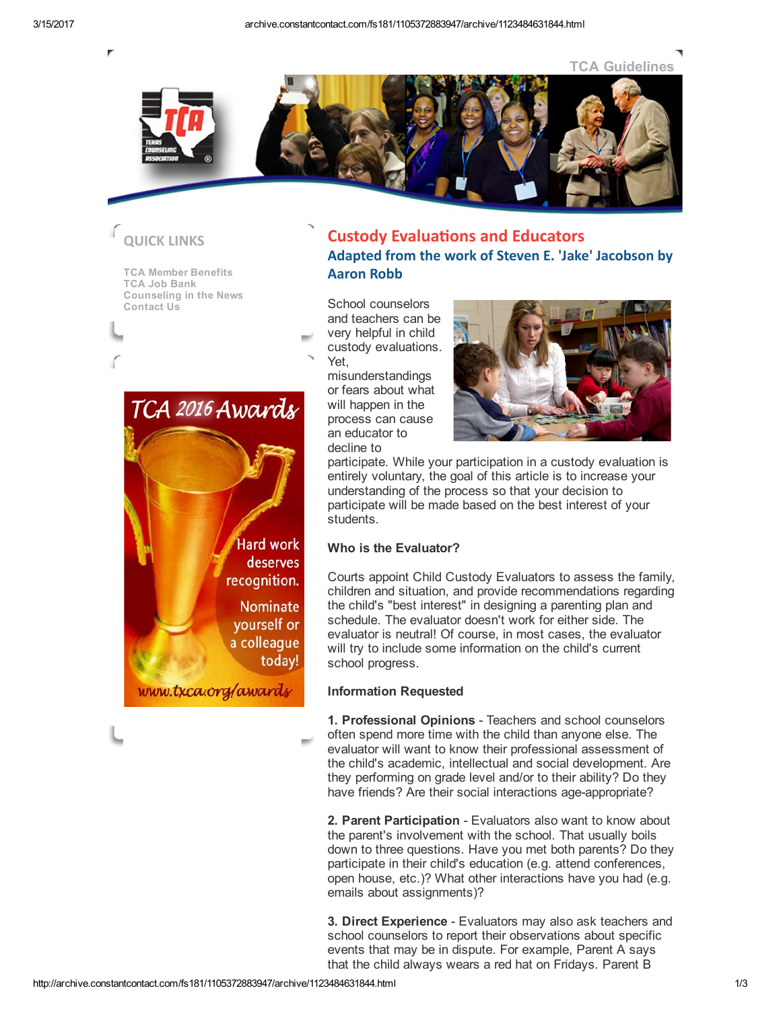



# QUICK LINKS

TCA Member [Benefits](http://www.txca.org/tca/BENEFITS.asp) TCA Job [Bank](http://www.txca.org/tca/CAREERCENTER.asp) [Counseling](http://www.txca.org/tca/Counseling_in_the_News.asp) in the News [Contact](http://www.txca.org/tca/CONTACT_TCA.asp) Us



www.txca.org/awards

## **Custody Evaluations and Educators** Adapted from the work of Steven E. 'Jake' Jacobson by Aaron Robb

School counselors and teachers can be very helpful in child custody evaluations. Yet,

misunderstandings or fears about what will happen in the process can cause an educator to decline to



participate. While your participation in a custody evaluation is entirely voluntary, the goal of this article is to increase your understanding of the process so that your decision to participate will be made based on the best interest of your .<br>students.

### Who is the Evaluator?

Courts appoint Child Custody Evaluators to assess the family, children and situation, and provide recommendations regarding the child's "best interest" in designing a parenting plan and schedule. The evaluator doesn't work for either side. The evaluator is neutral! Of course, in most cases, the evaluator will try to include some information on the child's current school progress.

### Information Requested

1. Professional Opinions - Teachers and school counselors often spend more time with the child than anyone else. The evaluator will want to know their professional assessment of the child's academic, intellectual and social development. Are they performing on grade level and/or to their ability? Do they have friends? Are their social interactions age-appropriate?

2. Parent Participation - Evaluators also want to know about the parent's involvement with the school. That usually boils down to three questions. Have you met both parents? Do they participate in their child's education (e.g. attend conferences, open house, etc.)? What other interactions have you had (e.g. emails about assignments)?

3. Direct Experience - Evaluators may also ask teachers and school counselors to report their observations about specific events that may be in dispute. For example, Parent A says that the child always wears a red hat on Fridays. Parent B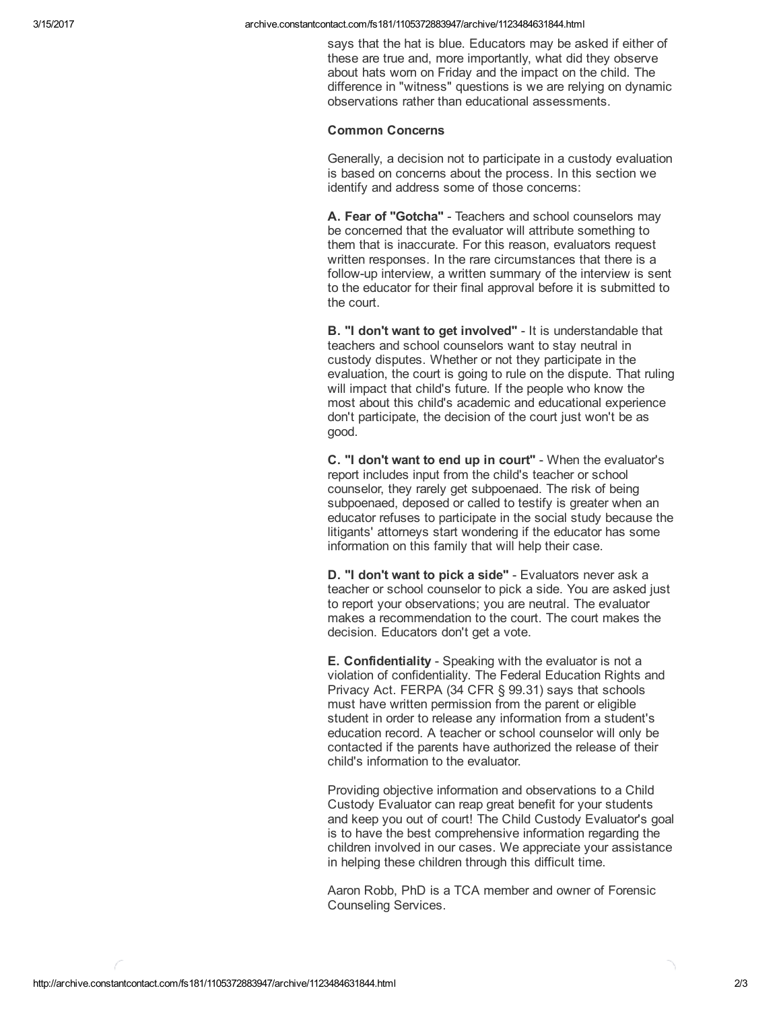says that the hat is blue. Educators may be asked if either of these are true and, more importantly, what did they observe about hats worn on Friday and the impact on the child. The difference in "witness" questions is we are relying on dynamic observations rather than educational assessments.

#### Common Concerns

Generally, a decision not to participate in a custody evaluation is based on concerns about the process. In this section we identify and address some of those concerns:

A. Fear of "Gotcha" - Teachers and school counselors may be concerned that the evaluator will attribute something to them that is inaccurate. For this reason, evaluators request written responses. In the rare circumstances that there is a follow-up interview, a written summary of the interview is sent to the educator for their final approval before it is submitted to the court.

B. "I don't want to get involved" - It is understandable that teachers and school counselors want to stay neutral in custody disputes. Whether or not they participate in the evaluation, the court is going to rule on the dispute. That ruling will impact that child's future. If the people who know the most about this child's academic and educational experience don't participate, the decision of the court just won't be as good.

C. "I don't want to end up in court" - When the evaluator's report includes input from the child's teacher or school counselor, they rarely get subpoenaed. The risk of being subpoenaed, deposed or called to testify is greater when an educator refuses to participate in the social study because the litigants' attorneys start wondering if the educator has some information on this family that will help their case.

D. "I don't want to pick a side" - Evaluators never ask a teacher or school counselor to pick a side. You are asked just to report your observations; you are neutral. The evaluator makes a recommendation to the court. The court makes the decision. Educators don't get a vote.

**E. Confidentiality** - Speaking with the evaluator is not a violation of confidentiality. The Federal Education Rights and Privacy Act. FERPA (34 CFR § 99.31) says that schools must have written permission from the parent or eligible student in order to release any information from a student's education record. A teacher or school counselor will only be contacted if the parents have authorized the release of their child's information to the evaluator.

Providing objective information and observations to a Child Custody Evaluator can reap great benefit for your students and keep you out of court! The Child Custody Evaluator's goal is to have the best comprehensive information regarding the children involved in our cases. We appreciate your assistance in helping these children through this difficult time.

Aaron Robb, PhD is a TCA member and owner of Forensic Counseling Services.